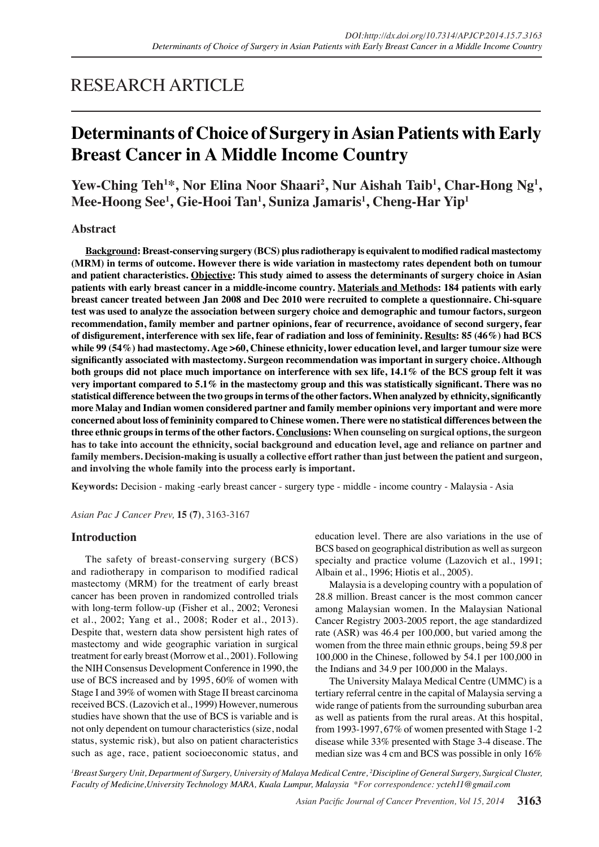# RESEARCH ARTICLE

# **Determinants of Choice of Surgery in Asian Patients with Early Breast Cancer in A Middle Income Country**

Yew-Ching Teh<sup>1\*</sup>, Nor Elina Noor Shaari<sup>2</sup>, Nur Aishah Taib<sup>1</sup>, Char-Hong Ng<sup>1</sup>, **Mee-Hoong See1 , Gie-Hooi Tan1 , Suniza Jamaris1 , Cheng-Har Yip1**

# **Abstract**

**Background: Breast-conserving surgery (BCS) plus radiotherapy is equivalent to modified radical mastectomy (MRM) in terms of outcome. However there is wide variation in mastectomy rates dependent both on tumour and patient characteristics. Objective: This study aimed to assess the determinants of surgery choice in Asian patients with early breast cancer in a middle-income country. Materials and Methods: 184 patients with early breast cancer treated between Jan 2008 and Dec 2010 were recruited to complete a questionnaire. Chi-square test was used to analyze the association between surgery choice and demographic and tumour factors, surgeon recommendation, family member and partner opinions, fear of recurrence, avoidance of second surgery, fear of disfigurement, interference with sex life, fear of radiation and loss of femininity. Results: 85 (46%) had BCS while 99 (54%) had mastectomy. Age >60, Chinese ethnicity, lower education level, and larger tumour size were significantly associated with mastectomy. Surgeon recommendation was important in surgery choice. Although both groups did not place much importance on interference with sex life, 14.1% of the BCS group felt it was very important compared to 5.1% in the mastectomy group and this was statistically significant. There was no statistical difference between the two groups in terms of the other factors. When analyzed by ethnicity, significantly more Malay and Indian women considered partner and family member opinions very important and were more concerned about loss of femininity compared to Chinese women. There were no statistical differences between the three ethnic groups in terms of the other factors. Conclusions: When counseling on surgical options, the surgeon has to take into account the ethnicity, social background and education level, age and reliance on partner and family members. Decision-making is usually a collective effort rather than just between the patient and surgeon, and involving the whole family into the process early is important.**

**Keywords:** Decision - making -early breast cancer - surgery type - middle - income country - Malaysia - Asia

*Asian Pac J Cancer Prev,* **15 (7)**, 3163-3167

# **Introduction**

The safety of breast-conserving surgery (BCS) and radiotherapy in comparison to modified radical mastectomy (MRM) for the treatment of early breast cancer has been proven in randomized controlled trials with long-term follow-up (Fisher et al., 2002; Veronesi et al., 2002; Yang et al., 2008; Roder et al., 2013). Despite that, western data show persistent high rates of mastectomy and wide geographic variation in surgical treatment for early breast (Morrow et al., 2001). Following the NIH Consensus Development Conference in 1990, the use of BCS increased and by 1995, 60% of women with Stage I and 39% of women with Stage II breast carcinoma received BCS. (Lazovich et al., 1999) However, numerous studies have shown that the use of BCS is variable and is not only dependent on tumour characteristics (size, nodal status, systemic risk), but also on patient characteristics such as age, race, patient socioeconomic status, and education level. There are also variations in the use of BCS based on geographical distribution as well as surgeon specialty and practice volume (Lazovich et al., 1991; Albain et al., 1996; Hiotis et al., 2005).

Malaysia is a developing country with a population of 28.8 million. Breast cancer is the most common cancer among Malaysian women. In the Malaysian National Cancer Registry 2003-2005 report, the age standardized rate (ASR) was 46.4 per 100,000, but varied among the women from the three main ethnic groups, being 59.8 per 100,000 in the Chinese, followed by 54.1 per 100,000 in the Indians and 34.9 per 100,000 in the Malays.

The University Malaya Medical Centre (UMMC) is a tertiary referral centre in the capital of Malaysia serving a wide range of patients from the surrounding suburban area as well as patients from the rural areas. At this hospital, from 1993-1997, 67% of women presented with Stage 1-2 disease while 33% presented with Stage 3-4 disease. The median size was 4 cm and BCS was possible in only 16%

*1 Breast Surgery Unit, Department of Surgery, University of Malaya Medical Centre, 2 Discipline of General Surgery, Surgical Cluster, Faculty of Medicine,University Technology MARA, Kuala Lumpur, Malaysia \*For correspondence: ycteh11@gmail.com*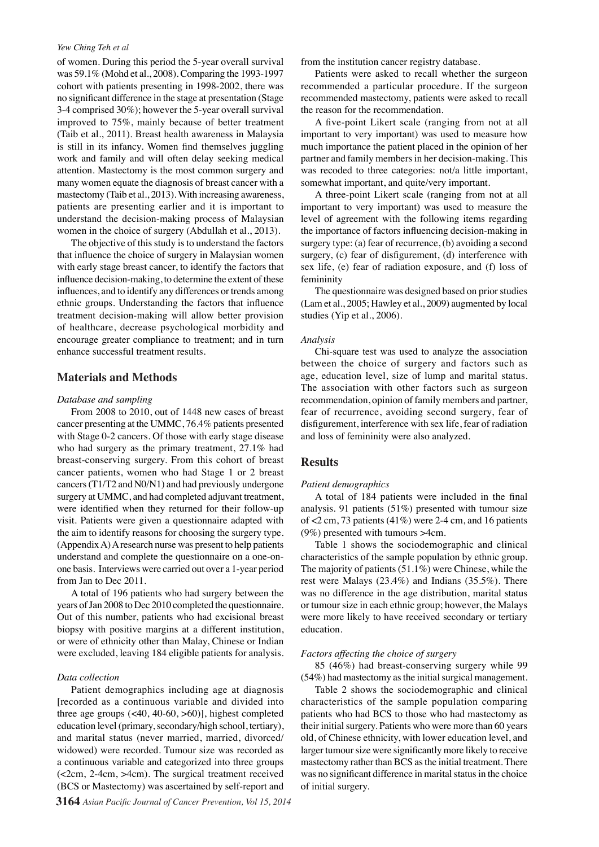### *Yew Ching Teh et al*

of women. During this period the 5-year overall survival was 59.1% (Mohd et al., 2008). Comparing the 1993-1997 cohort with patients presenting in 1998-2002, there was no significant difference in the stage at presentation (Stage 3-4 comprised 30%); however the 5-year overall survival improved to 75%, mainly because of better treatment (Taib et al., 2011). Breast health awareness in Malaysia is still in its infancy. Women find themselves juggling work and family and will often delay seeking medical attention. Mastectomy is the most common surgery and many women equate the diagnosis of breast cancer with a mastectomy (Taib et al., 2013). With increasing awareness, patients are presenting earlier and it is important to understand the decision-making process of Malaysian women in the choice of surgery (Abdullah et al., 2013).

The objective of this study is to understand the factors that influence the choice of surgery in Malaysian women with early stage breast cancer, to identify the factors that influence decision-making, to determine the extent of these influences, and to identify any differences or trends among ethnic groups. Understanding the factors that influence treatment decision-making will allow better provision of healthcare, decrease psychological morbidity and encourage greater compliance to treatment; and in turn enhance successful treatment results.

# **Materials and Methods**

## *Database and sampling*

From 2008 to 2010, out of 1448 new cases of breast cancer presenting at the UMMC, 76.4% patients presented with Stage 0-2 cancers. Of those with early stage disease who had surgery as the primary treatment, 27.1% had breast-conserving surgery. From this cohort of breast cancer patients, women who had Stage 1 or 2 breast cancers (T1/T2 and N0/N1) and had previously undergone surgery at UMMC, and had completed adjuvant treatment, were identified when they returned for their follow-up visit. Patients were given a questionnaire adapted with the aim to identify reasons for choosing the surgery type. (Appendix A) A research nurse was present to help patients understand and complete the questionnaire on a one-onone basis. Interviews were carried out over a 1-year period from Jan to Dec 2011.

A total of 196 patients who had surgery between the years of Jan 2008 to Dec 2010 completed the questionnaire. Out of this number, patients who had excisional breast biopsy with positive margins at a different institution, or were of ethnicity other than Malay, Chinese or Indian were excluded, leaving 184 eligible patients for analysis.

# *Data collection*

Patient demographics including age at diagnosis [recorded as a continuous variable and divided into three age groups (<40, 40-60, >60)], highest completed education level (primary, secondary/high school, tertiary), and marital status (never married, married, divorced/ widowed) were recorded. Tumour size was recorded as a continuous variable and categorized into three groups (<2cm, 2-4cm, >4cm). The surgical treatment received (BCS or Mastectomy) was ascertained by self-report and

**3164** *Asian Pacific Journal of Cancer Prevention, Vol 15, 2014*

from the institution cancer registry database.

Patients were asked to recall whether the surgeon recommended a particular procedure. If the surgeon recommended mastectomy, patients were asked to recall the reason for the recommendation.

A five-point Likert scale (ranging from not at all important to very important) was used to measure how much importance the patient placed in the opinion of her partner and family members in her decision-making. This was recoded to three categories: not/a little important, somewhat important, and quite/very important.

A three-point Likert scale (ranging from not at all important to very important) was used to measure the level of agreement with the following items regarding the importance of factors influencing decision-making in surgery type: (a) fear of recurrence, (b) avoiding a second surgery, (c) fear of disfigurement, (d) interference with sex life, (e) fear of radiation exposure, and (f) loss of femininity

The questionnaire was designed based on prior studies (Lam et al., 2005; Hawley et al., 2009) augmented by local studies (Yip et al., 2006).

#### *Analysis*

Chi-square test was used to analyze the association between the choice of surgery and factors such as age, education level, size of lump and marital status. The association with other factors such as surgeon recommendation, opinion of family members and partner, fear of recurrence, avoiding second surgery, fear of disfigurement, interference with sex life, fear of radiation and loss of femininity were also analyzed.

## **Results**

#### *Patient demographics*

A total of 184 patients were included in the final analysis. 91 patients (51%) presented with tumour size of <2 cm, 73 patients (41%) were 2-4 cm, and 16 patients (9%) presented with tumours >4cm.

Table 1 shows the sociodemographic and clinical characteristics of the sample population by ethnic group. The majority of patients (51.1%) were Chinese, while the rest were Malays (23.4%) and Indians (35.5%). There was no difference in the age distribution, marital status or tumour size in each ethnic group; however, the Malays were more likely to have received secondary or tertiary education.

## *Factors affecting the choice of surgery*

85 (46%) had breast-conserving surgery while 99 (54%) had mastectomy as the initial surgical management.

Table 2 shows the sociodemographic and clinical characteristics of the sample population comparing patients who had BCS to those who had mastectomy as their initial surgery. Patients who were more than 60 years old, of Chinese ethnicity, with lower education level, and larger tumour size were significantly more likely to receive mastectomy rather than BCS as the initial treatment. There was no significant difference in marital status in the choice of initial surgery.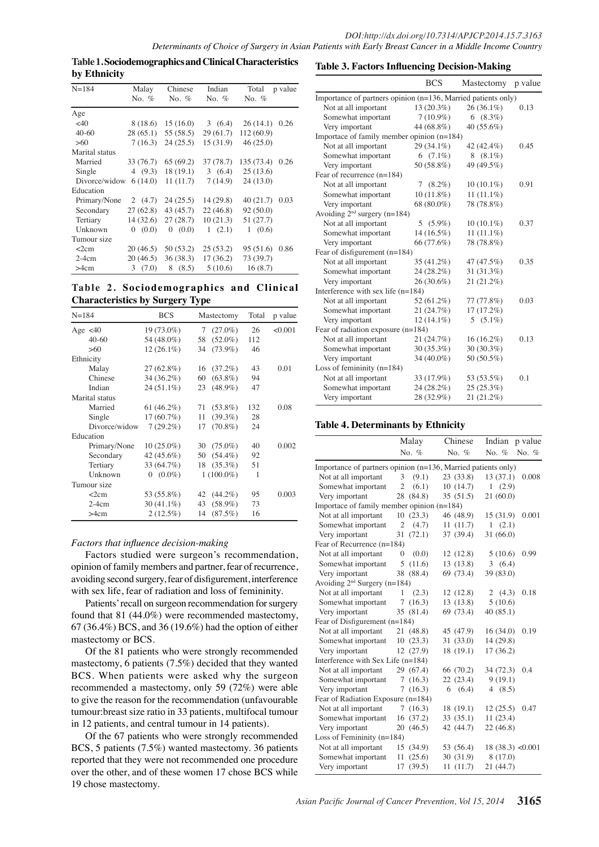**Table 1. Sociodemographics and Clinical Characteristics by Ethnicity**

| $N = 184$      | Malay     | Chinese    | Indian    | Total      | p value |
|----------------|-----------|------------|-----------|------------|---------|
|                | No. $%$   | No. $%$    | No. $%$   | No. $%$    |         |
| Age            |           |            |           |            |         |
| $<$ 40         | 8 (18.6)  | 15(16.0)   | 3(6.4)    | 26(14.1)   | 0.26    |
| $40 - 60$      | 28(65.1)  | 55 (58.5)  | 29(61.7)  | 112 (60.9) |         |
| >60            | 7(16.3)   | 24(25.5)   | 15(31.9)  | 46(25.0)   |         |
| Marital status |           |            |           |            |         |
| Married        | 33 (76.7) | 65(69.2)   | 37 (78.7) | 135 (73.4) | 0.26    |
| Single         | 4 $(9.3)$ | 18(19.1)   | 3(6.4)    | 25(13.6)   |         |
| Divorce/widow  | 6(14.0)   | 11(11.7)   | 7(14.9)   | 24(13.0)   |         |
| Education      |           |            |           |            |         |
| Primary/None   | 2 $(4.7)$ | 24(25.5)   | 14 (29.8) | 40(21.7)   | 0.03    |
| Secondary      | 27(62.8)  | 43(45.7)   | 22(46.8)  | 92 (50.0)  |         |
| Tertiary       | 14(32.6)  | 27(28.7)   | 10(21.3)  | 51(27.7)   |         |
| Unknown        | (0.0)     | (0.0)      | 1(2.1)    | 1(0.6)     |         |
| Tumour size    |           |            |           |            |         |
| <2cm           | 20(46.5)  | 50(53.2)   | 25(53.2)  | 95 (51.6)  | 0.86    |
| $2-4cm$        | 20(46.5)  | 36(38.3)   | 17(36.2)  | 73 (39.7)  |         |
| >4cm           | 3(7.0)    | (8.5)<br>8 | 5(10.6)   | 16(8.7)    |         |

**Table 2. Sociodemographics and Clinical Characteristics by Surgery Type**

| $N = 184$      | <b>BCS</b>    | Mastectomy       | Total | p value |
|----------------|---------------|------------------|-------|---------|
| Age $\lt 40$   | $19(73.0\%)$  | $(27.0\%)$<br>7  | 26    | < 0.001 |
| $40-60$        | 54 (48.0%)    | $(52.0\%)$<br>58 | 112   |         |
| >60            | $12(26.1\%)$  | $(73.9\%)$<br>34 | 46    |         |
| Ethnicity      |               |                  |       |         |
| Malay          | $27(62.8\%)$  | $(37.2\%)$<br>16 | 43    | 0.01    |
| Chinese        | $34(36.2\%)$  | $(63.8\%)$<br>60 | 94    |         |
| Indian         | $24(51.1\%)$  | $(48.9\%)$<br>23 | 47    |         |
| Marital status |               |                  |       |         |
| Married        | 61 $(46.2\%)$ | $(53.8\%)$<br>71 | 132   | 0.08    |
| Single         | $17(60.7\%)$  | $(39.3\%)$<br>11 | 28    |         |
| Divorce/widow  | $7(29.2\%)$   | $(70.8\%)$<br>17 | 24    |         |
| Education      |               |                  |       |         |
| Primary/None   | $10(25.0\%)$  | $(75.0\%)$<br>30 | 40    | 0.002   |
| Secondary      | $42(45.6\%)$  | $(54.4\%)$<br>50 | 92    |         |
| Tertiary       | 33 (64.7%)    | $(35.3\%)$<br>18 | 51    |         |
| Unknown        | $0(0.0\%)$    | $1(100.0\%)$     | 1     |         |
| Tumour size    |               |                  |       |         |
| $<$ 2 $cm$     | 53 (55.8%)    | $(44.2\%)$<br>42 | 95    | 0.003   |
| $2-4cm$        | $30(41.1\%)$  | $(58.9\%)$<br>43 | 73    |         |
| >4cm           | $2(12.5\%)$   | $(87.5\%)$<br>14 | 16    |         |

### *Factors that influence decision-making*

Factors studied were surgeon's recommendation, opinion of family members and partner, fear of recurrence, avoiding second surgery, fear of disfigurement, interference with sex life, fear of radiation and loss of femininity.

Patients' recall on surgeon recommendation for surgery found that 81 (44.0%) were recommended mastectomy, 67 (36.4%) BCS, and 36 (19.6%) had the option of either mastectomy or BCS.

Of the 81 patients who were strongly recommended mastectomy, 6 patients (7.5%) decided that they wanted BCS. When patients were asked why the surgeon recommended a mastectomy, only 59 (72%) were able to give the reason for the recommendation (unfavourable tumour:breast size ratio in 33 patients, multifocal tumour in 12 patients, and central tumour in 14 patients).

Of the 67 patients who were strongly recommended BCS, 5 patients (7.5%) wanted mastectomy. 36 patients reported that they were not recommended one procedure over the other, and of these women 17 chose BCS while 19 chose mastectomy.

## **Table 3. Factors Influencing Decision-Making**

|                                                               | <b>BCS</b>     | Mastectomy    | p value |  |  |
|---------------------------------------------------------------|----------------|---------------|---------|--|--|
| Importance of partners opinion (n=136, Married patients only) |                |               |         |  |  |
| Not at all important                                          | $13(20.3\%)$   | $26(36.1\%)$  | 0.13    |  |  |
| Somewhat important                                            | $7(10.9\%)$    | 6 $(8.3\%)$   |         |  |  |
| Very important                                                | 44 (68.8%)     | 40 (55.6%)    |         |  |  |
| Importace of family member opinion $(n=184)$                  |                |               |         |  |  |
| Not at all important                                          | 29 (34.1%)     | 42 (42.4%)    | 0.45    |  |  |
| Somewhat important                                            | 6 $(7.1\%)$    | $8(8.1\%)$    |         |  |  |
| Very important                                                | 50 (58.8%)     | 49 (49.5%)    |         |  |  |
| Fear of recurrence $(n=184)$                                  |                |               |         |  |  |
| Not at all important                                          | $(8.2\%)$<br>7 | $10(10.1\%)$  | 0.91    |  |  |
| Somewhat important                                            | $10(11.8\%)$   | $11(11.1\%)$  |         |  |  |
| Very important                                                | 68 (80.0%)     | 78 (78.8%)    |         |  |  |
| Avoiding $2^{nd}$ surgery (n=184)                             |                |               |         |  |  |
| Not at all important                                          | 5 $(5.9\%)$    | $10(10.1\%)$  | 0.37    |  |  |
| Somewhat important                                            | 14 (16.5%)     | 11 $(11.1\%)$ |         |  |  |
| Very important                                                | 66 (77.6%)     | 78 (78.8%)    |         |  |  |
| Fear of disfigurement $(n=184)$                               |                |               |         |  |  |
| Not at all important                                          | 35 (41.2%)     | 47 (47.5%)    | 0.35    |  |  |
| Somewhat important                                            | 24 (28.2%)     | 31 (31.3%)    |         |  |  |
| Very important                                                | 26 (30.6%)     | 21 (21.2%)    |         |  |  |
| Interference with sex life (n=184)                            |                |               |         |  |  |
| Not at all important                                          | 52 (61.2%)     | 77 (77.8%)    | 0.03    |  |  |
| Somewhat important                                            | 21 (24.7%)     | 17(17.2%)     |         |  |  |
| Very important                                                | $12(14.1\%)$   | 5 $(5.1\%)$   |         |  |  |
| Fear of radiation exposure $(n=184)$                          |                |               |         |  |  |
| Not at all important                                          | 21 (24.7%)     | 16 (16.2%)    | 0.13    |  |  |
| Somewhat important                                            | 30 (35.3%)     | 30 (30.3%)    |         |  |  |
| Very important                                                | 34 (40.0%)     | 50 (50.5%)    |         |  |  |
| Loss of femininity $(n=184)$                                  |                |               |         |  |  |
| Not at all important                                          | 33 (17.9%)     | 53 (53.5%)    | 0.1     |  |  |
| Somewhat important                                            | 24 (28.2%)     | 25(25.3%)     |         |  |  |
| Very important                                                | 28 (32.9%)     | 21 (21.2%)    |         |  |  |

# **Table 4. Determinants by Ethnicity**

|                                                                   | Malay                   | Chinese    | Indian                | p value |  |  |
|-------------------------------------------------------------------|-------------------------|------------|-----------------------|---------|--|--|
|                                                                   | No. %                   | No. $%$    | No. %                 | No. $%$ |  |  |
| Importance of partners opinion $(n=136)$ , Married patients only) |                         |            |                       |         |  |  |
| Not at all important                                              | 3<br>(9.1)              | 23(33.8)   | 13(37.1)              | 0.008   |  |  |
| Somewhat important                                                | $\overline{2}$<br>(6.1) | 10(14.7)   | 1(2.9)                |         |  |  |
| Very important                                                    | 28 (84.8)               | 35(51.5)   | 21(60.0)              |         |  |  |
| Importace of family member opinion $(n=184)$                      |                         |            |                       |         |  |  |
| Not at all important                                              | 10(23.3)                | 46 (48.9)  | 15(31.9)              | 0.001   |  |  |
| Somewhat important                                                | $\overline{2}$<br>(4.7) | 11(11.7)   | (2.1)<br>1            |         |  |  |
| Very important                                                    | 31<br>(72.1)            | 37(39.4)   | 31(66.0)              |         |  |  |
| Fear of Recurrence (n=184)                                        |                         |            |                       |         |  |  |
| Not at all important                                              | (0.0)<br>$\mathbf{0}$   | 12(12.8)   | 5(10.6)               | 0.99    |  |  |
| Somewhat important                                                | 5(11.6)                 | 13(13.8)   | (6.4)<br>$\mathbf{3}$ |         |  |  |
| Very important                                                    | 38 (88.4)               | 69 (73.4)  | 39 (83.0)             |         |  |  |
| Avoiding 2 <sup>nd</sup> Surgery (n=184)                          |                         |            |                       |         |  |  |
| Not at all important                                              | (2.3)<br>1              | 12(12.8)   | 2 $(4.3)$             | 0.18    |  |  |
| Somewhat important                                                | 7<br>(16.3)             | 13(13.8)   | 5(10.6)               |         |  |  |
| Very important                                                    | 35 (81.4)               | 69 (73.4)  | 40(85.1)              |         |  |  |
| Fear of Disfigurement (n=184)                                     |                         |            |                       |         |  |  |
| Not at all important                                              | 21 (48.8)               | 45 (47.9)  | 16(34.0)              | 0.19    |  |  |
| Somewhat important 10 (23.3)                                      |                         | 31(33.0)   | 14 (29.8)             |         |  |  |
| Very important                                                    | 12(27.9)                | 18(19.1)   | 17(36.2)              |         |  |  |
| Interference with Sex Life (n=184)                                |                         |            |                       |         |  |  |
| Not at all important                                              | 29 (67.4)               | 66 (70.2)  | 34 (72.3)             | 0.4     |  |  |
| Somewhat important                                                | (16.3)<br>$\tau$        | 22(23.4)   | 9(19.1)               |         |  |  |
| Very important                                                    | (16.3)<br>$\tau$        | (6.4)<br>6 | 4 $(8.5)$             |         |  |  |
| Fear of Radiation Exposure (n=184)                                |                         |            |                       |         |  |  |
| Not at all important                                              | 7(16.3)                 | 18 (19.1)  | 12(25.5)              | 0.47    |  |  |
| Somewhat important                                                | 16(37.2)                | 33(35.1)   | 11(23.4)              |         |  |  |
| Very important                                                    | 20 (46.5)               | 42 (44.7)  | 22 (46.8)             |         |  |  |
| Loss of Femininity $(n=184)$                                      |                         |            |                       |         |  |  |
| Not at all important                                              | 15 (34.9)               | 53 (56.4)  | $18(38.3)$ < 0.001    |         |  |  |
| Somewhat important                                                | 11<br>(25.6)            | 30 (31.9)  | 8(17.0)               |         |  |  |
| Very important                                                    | (39.5)<br>17            | 11(11.7)   | 21 (44.7)             |         |  |  |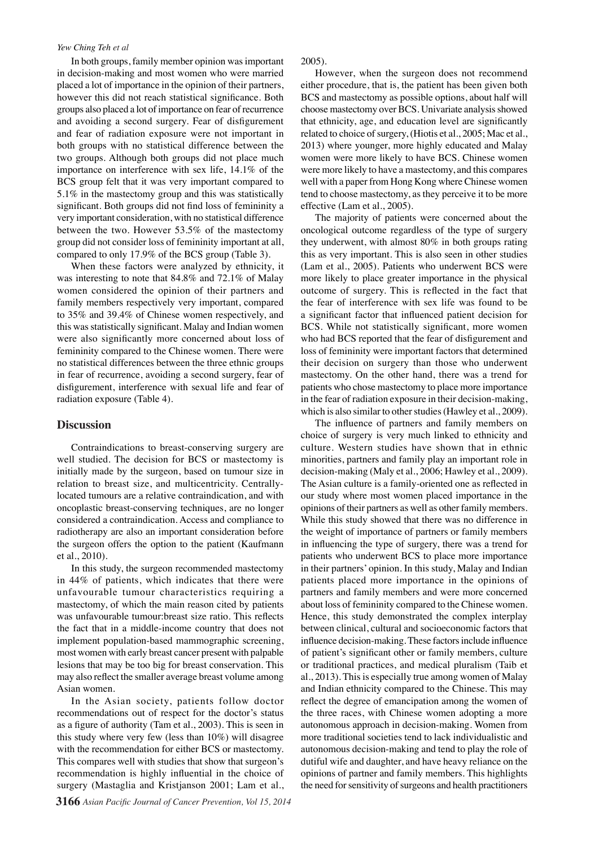#### *Yew Ching Teh et al*

In both groups, family member opinion was important in decision-making and most women who were married placed a lot of importance in the opinion of their partners, however this did not reach statistical significance. Both groups also placed a lot of importance on fear of recurrence and avoiding a second surgery. Fear of disfigurement 00 0that ethnicity, age, and education level are significantly and fear of radiation exposure were not important in both groups with no statistical difference between the two groups. Although both groups did not place much importance on interference with sex life,  $14.1\%$  of the  $75.0$ BCS group felt that it was very important compared to 5.1% in the mastectomy group and this was statistically significant. Both groups did not find loss of femininity  $a50.0$  effecti  $\vert$  h et  $\vert$  =  $\vert$  =  $\vert$  05). very important consideration, with no statistical difference between the two. However 53.5% of the mastectomy group did not consider loss of femininity important at all, compared to only 17.9% of the BCS group (Table 3).

When these factors were analyzed by ethnicity, it was interesting to note that 84.8% and 72.1% of Malay women considered the opinion of their partners and family members respectively very important, compared to 35% and 39.4% of Chinese women respectively, and this was statistically significant. Malay and Indian women were also significantly more concerned about loss of femininity compared to the Chinese women. There were no statistical differences between the three ethnic groups in fear of recurrence, avoiding a second surgery, fear of disfigurement, interference with sexual life and fear of radiation exposure (Table 4).

# **Discussion**

Contraindications to breast-conserving surgery are well studied. The decision for BCS or mastectomy is initially made by the surgeon, based on tumour size in relation to breast size, and multicentricity. Centrallylocated tumours are a relative contraindication, and with oncoplastic breast-conserving techniques, are no longer considered a contraindication. Access and compliance to radiotherapy are also an important consideration before the surgeon offers the option to the patient (Kaufmann et al., 2010).

In this study, the surgeon recommended mastectomy in 44% of patients, which indicates that there were unfavourable tumour characteristics requiring a mastectomy, of which the main reason cited by patients was unfavourable tumour:breast size ratio. This reflects the fact that in a middle-income country that does not implement population-based mammographic screening, most women with early breast cancer present with palpable lesions that may be too big for breast conservation. This may also reflect the smaller average breast volume among Asian women.

In the Asian society, patients follow doctor recommendations out of respect for the doctor's status as a figure of authority (Tam et al., 2003). This is seen in this study where very few (less than 10%) will disagree with the recommendation for either BCS or mastectomy. This compares well with studies that show that surgeon's recommendation is highly influential in the choice of surgery (Mastaglia and Kristjanson 2001; Lam et al.,

**3166** *Asian Pacific Journal of Cancer Prevention, Vol 15, 2014*

2005).

However, when the surgeon does not recommend either procedure, that is, the patient has been given both BCS and mastectomy as possible options, about half will choose mastectomy over BCS. Univariate analysis showed



the fear of interference with  $g$ ex life was found to be a significant factor that influenced pation decision for BCS. Whele not statistically gignificantly more women who had **BCS** reported that the fear of disfigurement and loss of feminity were important factors that determined their dec<sub>ision</sub> on surgery than those who underwent mastectory. On the other hand, there was a trend for patients who chose mastectomy to place more importance in the fearb fradiation exposure in their decision-making, which is also similar to other studies (Hawley et al., 2009). Newly diagnosed without treatments. Newly diagnosed with treatment Persistence or recurrence R<del>e</del>m Bsi*d*i

The influence of partners and family members on choice of surgery is very much linked to ethnicity and culture. Western studies have shown that in ethnic minorities, partners and family play an important role in decision-making (Maly et al., 2006; Hawley et al., 2009). The Asian culture is a family-oriented one as reflected in our study where most women placed importance in the opinions of their partners as well as other family members. While this study showed that there was no difference in the weight of importance of partners or family members in influencing the type of surgery, there was a trend for patients who underwent BCS to place more importance in their partners' opinion. In this study, Malay and Indian patients placed more importance in the opinions of partners and family members and were more concerned about loss of femininity compared to the Chinese women. Hence, this study demonstrated the complex interplay between clinical, cultural and socioeconomic factors that influence decision-making. These factors include influence of patient's significant other or family members, culture or traditional practices, and medical pluralism (Taib et al., 2013). This is especially true among women of Malay and Indian ethnicity compared to the Chinese. This may reflect the degree of emancipation among the women of the three races, with Chinese women adopting a more autonomous approach in decision-making. Women from more traditional societies tend to lack individualistic and autonomous decision-making and tend to play the role of dutiful wife and daughter, and have heavy reliance on the opinions of partner and family members. This highlights the need for sensitivity of surgeons and health practitioners

**51.1** Chemotherapy **Chemotherapy** 

**12.8**

None